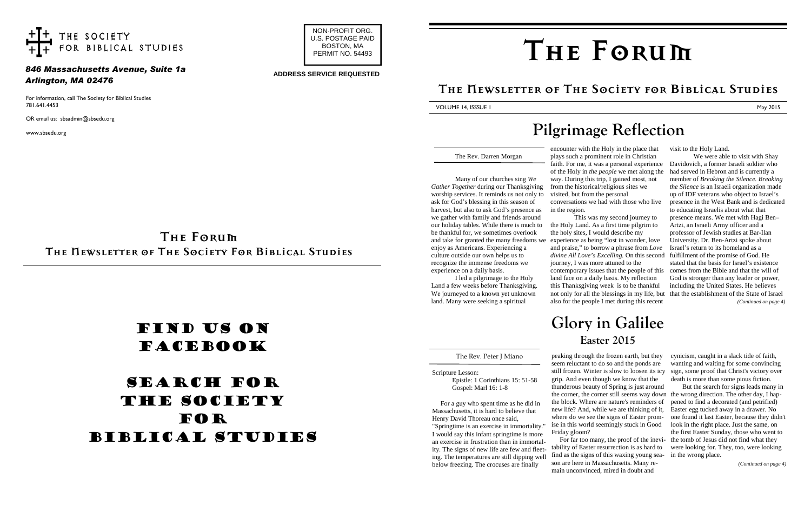For information, call The Society for Biblical Studies 781.641.4453

OR email us: sbsadmin@sbsedu.org

www.sbsedu.org



## Find us on **FACEBOOK**

## SEARCH FOR THE SOCIETY **FOR** biblical Studies

**The Forum The Newsletter of The Society For Biblical Studies**



### *846 Massachusetts Avenue, Suite 1a Arlington, MA 02476*

#### **ADDRESS SERVICE REQUESTED**

The Rev. Darren Morgan

Many of our churches sing *We Gather Together* during our Thanksgiving worship services. It reminds us not only to ask for God's blessing in this season of harvest, but also to ask God's presence as we gather with family and friends around our holiday tables. While there is much to be thankful for, we sometimes overlook enjoy as Americans. Experiencing a culture outside our own helps us to recognize the immense freedoms we experience on a daily basis.

I led a pilgrimage to the Holy Land a few weeks before Thanksgiving. We journeyed to a known yet unknown land. Many were seeking a spiritual

encounter with the Holy in the place that

# in the region.

"Springtime is an exercise in immortality. I would say this infant springtime is more an exercise in frustration than in immortality. The signs of new life are few and fleeting. The temperatures are still dipping well below freezing. The crocuses are finally

and take for granted the many freedoms we experience as being "lost in wonder, love plays such a prominent role in Christian faith. For me, it was a personal experience of the Holy in *the people* we met along the way. During this trip, I gained most, not from the historical/religious sites we visited, but from the personal conversations we had with those who live This was my second journey to the Holy Land. As a first time pilgrim to the holy sites, I would describe my and praise," to borrow a phrase from *Love divine All Love's Excelling.* On this second fulfillment of the promise of God. He journey, I was more attuned to the contemporary issues that the people of this land face on a daily basis. My reflection this Thanksgiving week is to be thankful not only for all the blessings in my life, but also for the people I met during this recent We were able to visit with Shay Davidovich, a former Israeli soldier who had served in Hebron and is currently a member of *Breaking the Silence. Breaking the Silence* is an Israeli organization made up of IDF veterans who object to Israel's presence in the West Bank and is dedicated to educating Israelis about what that presence means. We met with Hagi Ben– Artzi, an Israeli Army officer and a professor of Jewish studies at Bar-Ilan University. Dr. Ben-Artzi spoke about Israel's return to its homeland as a stated that the basis for Israel's existence comes from the Bible and that the will of God is stronger than any leader or power, including the United States. He believes that the establishment of the State of Israel *(Continued on page 4)*

#### visit to the Holy Land.

## **Pilgrimage Reflection**

The Rev. Peter J Miano

Scripture Lesson:

Epistle: 1 Corinthians 15: 51-58

Gospel: Marl 16: 1-8

For a guy who spent time as he did in Massachusetts, it is hard to believe that Henry David Thoreau once said,

> tability of Easter resurrection is as hard to find as the signs of this waxing young season are here in Massachusetts. Many remain unconvinced, mired in doubt and

peaking through the frozen earth, but they seem reluctant to do so and the ponds are still frozen. Winter is slow to loosen its icy sign, some proof that Christ's victory over grip. And even though we know that the thunderous beauty of Spring is just around the corner, the corner still seems way down the wrong direction. The other day, I hapthe block. Where are nature's reminders of new life? And, while we are thinking of it, where do we see the signs of Easter promise in this world seemingly stuck in Good Friday gloom? For far too many, the proof of the inevicynicism, caught in a slack tide of faith, wanting and waiting for some convincing death is more than some pious fiction. But the search for signs leads many in pened to find a decorated (and petrified) Easter egg tucked away in a drawer. No one found it last Easter, because they didn't look in the right place. Just the same, on the first Easter Sunday, those who went to the tomb of Jesus did not find what they were looking for. They, too, were looking in the wrong place.

*(Continued on page 4)*

## **Glory in Galilee Easter 2015**

# **The Forum**

## **The Newsletter of The Society for Biblical Studies**

VOLUME 14, ISSSUE I May 2015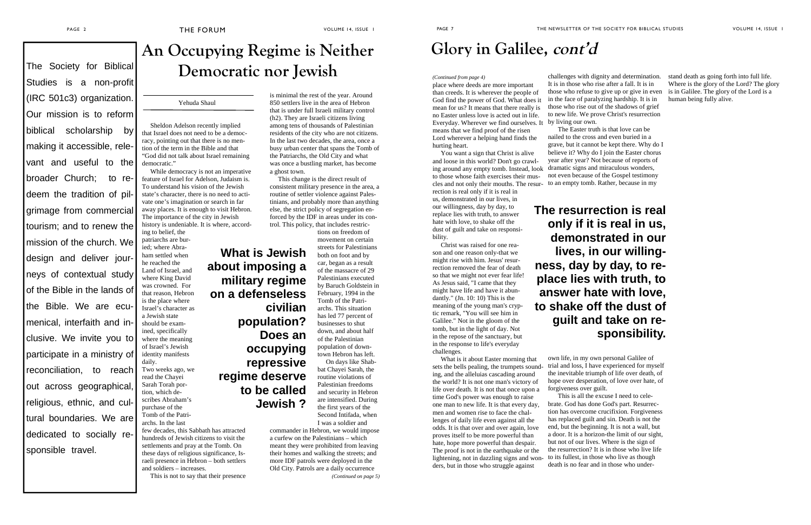#### Yehuda Shaul

Sheldon Adelson recently implied that Israel does not need to be a democracy, pointing out that there is no mention of the term in the Bible and that "God did not talk about Israel remaining democratic."

While democracy is not an imperative feature of Israel for Adelson, Judaism is. To understand his vision of the Jewish state's character, there is no need to activate one's imagination or search in far away places. It is enough to visit Hebron. The importance of the city in Jewish history is undeniable. It is where, accord-

ing to belief, the patriarchs are buried; where Abraham settled when he reached the Land of Israel, and where King David was crowned. For that reason, Hebron is the place where Israel's character as a Jewish state should be examined, specifically where the meaning of Israel's Jewish identity manifests daily. Two weeks ago, we read the Chayei Sarah Torah portion, which describes Abraham's purchase of the Tomb of the Patri-

archs. In the last few decades, this Sabbath has attracted hundreds of Jewish citizens to visit the settlements and pray at the Tomb. On these days of religious significance, Israeli presence in Hebron – both settlers and soldiers – increases.

This is not to say that their presence

## **An Occupying Regime is Neither** The Society for Biblical **Democratic nor Jewish**

is minimal the rest of the year. Around 850 settlers live in the area of Hebron that is under full Israeli military control (h2). They are Israeli citizens living among tens of thousands of Palestinian residents of the city who are not citizens. In the last two decades, the area, once a busy urban center that spans the Tomb of the Patriarchs, the Old City and what was once a bustling market, has become a ghost town.

Studies is a non-profit (IRC 501c3) organization. Our mission is to reform biblical scholarship by making it accessible, relevant and useful to the broader Church; to redeem the tradition of pilgrimage from commercial tourism; and to renew the mission of the church. We design and deliver journeys of contextual study of the Bible in the lands of the Bible. We are ecumenical, interfaith and inclusive. We invite you to participate in a ministry of reconciliation, to reach out across geographical, religious, ethnic, and cultural boundaries. We are dedicated to socially responsible travel.

This change is the direct result of consistent military presence in the area, a routine of settler violence against Palestinians, and probably more than anything else, the strict policy of segregation enforced by the IDF in areas under its control. This policy, that includes restric-

tions on freedom of movement on certain streets for Palestinians both on foot and by car, began as a result of the massacre of 29 Palestinians executed by Baruch Goldstein in February, 1994 in the Tomb of the Patriarchs. This situation has led 77 percent of businesses to shut down, and about half of the Palestinian population of downtown Hebron has left. On days like Shab-

bat Chayei Sarah, the routine violations of Palestinian freedoms and security in Hebron are intensified. During the first years of the Second Intifada, when I was a soldier and

commander in Hebron, we would impose a curfew on the Palestinians – which meant they were prohibited from leaving their homes and walking the streets; and more IDF patrols were deployed in the Old City. Patrols are a daily occurrence

Everyday. Wherever we find ourselves. It by living our own. place where deeds are more important than creeds. It is wherever the people of God find the power of God. What does it mean for us? It means that there really is no Easter unless love is acted out in life. means that we find proof of the risen Lord wherever a helping hand finds the hurting heart.

*(Continued on page 5)*

**What is Jewish**

**about imposing a**

**military regime**

**on a defenseless**

**civilian**

**population?**

**Does an**

**occupying**

**repressive**

**regime deserve**

**to be called**

**Jewish ?**

biblical faith. We are ecu-

challenges with dignity and determination. It is in those who rise after a fall. It is in those who refuse to give up or give in even in the face of paralyzing hardship. It is in those who rise out of the shadows of grief to new life. We prove Christ's resurrection

The Easter truth is that love can be nailed to the cross and even buried in a grave, but it cannot be kept there. Why do I believe it? Why do I join the Easter chorus year after year? Not because of reports of dramatic signs and miraculous wonders, not even because of the Gospel testimony to an empty tomb. Rather, because in my

own life, in my own personal Galilee of trial and loss, I have experienced for myself the inevitable triumph of life over death, of hope over desperation, of love over hate, of forgiveness over guilt.

This is all the excuse I need to celebrate. God has done God's part. Resurrection has overcome crucifixion. Forgiveness has replaced guilt and sin. Death is not the end, but the beginning. It is not a wall, but a door. It is a horizon-the limit of our sight, but not of our lives. Where is the sign of the resurrection? It is in those who live life to its fullest, in those who live as though death is no fear and in those who under-

stand death as going forth into full life. Where is the glory of the Lord? The glory is in Galilee. The glory of the Lord is a human being fully alive.

You want a sign that Christ is alive and loose in this world? Don't go crawling around any empty tomb. Instead, look to those whose faith exercises their muscles and not only their mouths. The resurrection is real only if it is real in us, demonstrated in our lives, in our willingness, day by day, to replace lies with truth, to answer

hate with love, to shake off the

dust of guilt and take on responsibility. Christ was raised for one reason and one reason only-that we might rise with him. Jesus' resurrection removed the fear of death so that we might not ever fear life! As Jesus said, "I came that they might have life and have it abundantly." (Jn. 10: 10) This is the meaning of the young man's cryptic remark, "You will see him in Galilee." Not in the gloom of the tomb, but in the light of day. Not in the repose of the sanctuary, but in the response to life's everyday challenges.

What is it about Easter morning that sets the bells pealing, the trumpets sounding, and the alleluias cascading around the world? It is not one man's victory of life over death. It is not that once upon a time God's power was enough to raise one man to new life. It is that every day, men and women rise to face the challenges of daily life even against all the odds. It is that over and over again, love proves itself to be more powerful than hate, hope more powerful than despair. The proof is not in the earthquake or the lightening, not in dazzling signs and wonders, but in those who struggle against

#### *(Continued from page 4)*

## **Glory in Galilee, cont'd**

**The resurrection is real only if it is real in us, demonstrated in our lives, in our willingness, day by day, to replace lies with truth, to answer hate with love, to shake off the dust of guilt and take on responsibility.**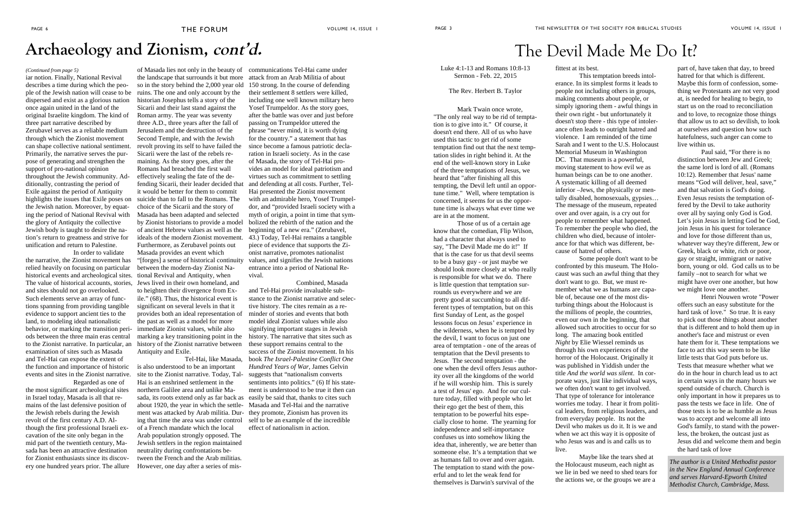## **Archaeology and Zionism, cont'd.**

iar notion. Finally, National Revival describes a time during which the people of the Jewish nation will cease to be dispersed and exist as a glorious nation once again united in the land of the original Israelite kingdom. The kind of three part narrative described by Zerubavel serves as a reliable medium through which the Zionist movement can shape collective national sentiment. Primarily, the narrative serves the purpose of generating and strengthen the support of pro-national opinion throughout the Jewish community. Additionally, contrasting the period of Exile against the period of Antiquity highlights the issues that Exile poses on the Jewish nation. Moreover, by equating the period of National Revival with the glory of Antiquity the collective Jewish body is taught to desire the nation's return to greatness and strive for unification and return to Palestine. In order to validate

the narrative, the Zionist movement has relied heavily on focusing on particular historical events and archeological sites. The value of historical accounts, stories, Jews lived in their own homeland, and and sites should not go overlooked. Such elements serve an array of functions spanning from providing tangible evidence to support ancient ties to the land, to modeling ideal nationalistic behavior, or marking the transition periods between the three main eras central to the Zionist narrative. In particular, an examination of sites such as Masada and Tel-Hai can expose the extent of the function and importance of historic events and sites in the Zionist narrative. Regarded as one of

between the modern-day Zionist National Revival and Antiquity, when to heighten their divergence from Exile." (68). Thus, the historical event is significant on several levels in that it provides both an ideal representation of the past as well as a model for more immediate Zionist values, while also marking a key transitioning point in the history of the Zionist narrative between Antiquity and Exile.

the most significant archeological sites in Israel today, Masada is all that remains of the last defensive position of the Jewish rebels during the Jewish revolt of the first century A.D. Although the first professional Israeli excavation of the site only began in the mid part of the twentieth century, Masada has been an attractive destination for Zionist enthusiasts since its discovery one hundred years prior. The allure

the landscape that surrounds it but more attack from an Arab Militia of about so in the story behind the 2,000 year old 150 strong. In the course of defending ruins. The one and only account by the historian Josephus tells a story of the Sicarii and their last stand against the Roman army. The year was seventy three A.D., three years after the fall of Jerusalem and the destruction of the Second Temple, and with the Jewish revolt proving its self to have failed the Sicarii were the last of the rebels remaining. As the story goes, after the Romans had breached the first wall effectively sealing the fate of the defending Sicarii, their leader decided that it would be better for them to commit suicide than to fall to the Romans. The choice of the Sicarii and the story of Masada has been adapted and selected by Zionist historians to provide a model of ancient Hebrew values as well as the ideals of the modern Zionist movement. Furthermore, as Zerubavel points out Masada provides an event which "[forges] a sense of historical continuity values, and signifies the Jewish nations

Tel-Hai, like Masada, is also understood to be an important site to the Zionist narrative. Today, Tal-Hai is an enshrined settlement in the northern Galilee area and unlike Masada, its roots extend only as far back as easily be said that, thanks to cites such about 1920, the year in which the settlement was attacked by Arab militia. Dur-they promote, Zionism has proven its ing that time the area was under control of a French mandate which the local Arab population strongly opposed. The Jewish settlers in the region maintained neutrality during confrontations between the French and the Arab militias. However, one day after a series of mis-

of Masada lies not only in the beauty of communications Tel-Hai came under *(Continued from page 5)* Luke 4:1-13 and Romans 10:8-13 Sermon - Feb. 22, 2015

their settlement 8 settlers were killed, including one well known military hero Yosef Trumpeldor. As the story goes, after the battle was over and just before passing on Trumpeldor uttered the phrase "never mind, it is worth dying for the country." a statement that has since become a famous patriotic declaration in Israeli society. As in the case of Masada, the story of Tel-Hai provides an model for ideal patriotism and virtues such as commitment to settling and defending at all costs. Further, Tel-Hai presented the Zionist movement with an admirable hero, Yosef Trumpeldor, and "provided Israeli society with a myth of origin, a point in time that symbolized the rebirth of the nation and the beginning of a new era." (Zerubavel, 43.) Today, Tel-Hai remains a tangible piece of evidence that supports the Zionist narrative, promotes nationalist entrance into a period of National Revival.

Combined, Masada and Tel-Hai provide invaluable substance to the Zionist narrative and selective history. The cites remain as a reminder of stories and events that both model ideal Zionist values while also signifying important stages in Jewish history. The narrative that sites such as these support remains central to the success of the Zionist movement. In his book *The Israel-Palestine Conflict One Hundred Years of War,* James Gelvin suggests that "nationalism converts sentiments into politics." (6) If his statement is understood to be true it then can Masada and Tel-Hai and the narrative self to be an example of the incredible effect of nationalism in action.

#### The Rev. Herbert B. Taylor

Mark Twain once wrote, "The only real way to be rid of temptation is to give into it." Of course, it doesn't end there. All of us who have used this tactic to get rid of some temptation find out that the next temptation slides in right behind it. At the end of the well-known story in Luke of the three temptations of Jesus, we heard that "after finishing all this tempting, the Devil left until an opportune time." Well, where temptation is concerned, it seems for us the opportune time is always what ever time we are in at the moment.

Those of us of a certain age know that the comedian, Flip Wilson, had a character that always used to say, "The Devil Made me do it!" If that is the case for us that devil seems to be a busy guy - or just maybe we should look more closely at who really is responsible for what we do. There is little question that temptation surrounds us everywhere and we are pretty good at succumbing to all different types of temptation, but on this first Sunday of Lent, as the gospel lessons focus on Jesus' experience in the wilderness, when he is tempted by the devil, I want to focus on just one area of temptation - one of the areas of temptation that the Devil presents to Jesus. The second temptation - the one when the devil offers Jesus authority over all the kingdoms of the world if he will worship him. This is surely a test of Jesus' ego. And for our culture today, filled with people who let their ego get the best of them, this temptation to be powerful hits especially close to home. The yearning for independence and self-importance confuses us into somehow liking the idea that, inherently, we are better than someone else. It's a temptation that we as humans fall to over and over again. The temptation to stand with the powerful and to let the weak fend for themselves is Darwin's survival of the

fittest at its best.

This temptation breeds intolerance. In its simplest forms it leads to people not including others in groups, making comments about people, or simply ignoring them - awful things in their own right - but unfortunately it doesn't stop there - this type of intolerance often leads to outright hatred and violence. I am reminded of the time Sarah and I went to the U.S. Holocaust Memorial Museum in Washington DC. That museum is a powerful, moving statement to how evil we as human beings can be to one another. A systematic killing of all deemed inferior –Jews, the physically or mentally disabled, homosexuals, gypsies… The message of the museum, repeated over and over again, is a cry out for people to remember what happened. To remember the people who died, the children who died, because of intolerance for that which was different, because of hatred of others.

Some people don't want to be confronted by this museum. The Holocaust was such an awful thing that they don't want to go. But, we must remember what we as humans are capable of, because one of the most disturbing things about the Holocaust is the millions of people, the countries, even our own in the beginning, that allowed such atrocities to occur for so long. The amazing book entitled *Night* by Elie Wiessel reminds us through his own experiences of the horror of the Holocaust. Originally it was published in Yiddish under the title *And the world was silent*. In corporate ways, just like individual ways, we often don't want to get involved. That type of tolerance for intolerance worries me today. I hear it from political leaders, from religious leaders, and from everyday people. Its not the Devil who makes us do it. It is we and when we act this way it is opposite of who Jesus was and is and calls us to

live.

Maybe like the tears shed at the Holocaust museum, each night as we lie in bed we need to shed tears for the actions we, or the groups we are a

part of, have taken that day, to breed hatred for that which is different. Maybe this form of confession, something we Protestants are not very good at, is needed for healing to begin, to start us on the road to reconciliation and to love, to recognize those things that allow us to act so devilish, to look at ourselves and question how such hatefulness, such anger can come to live within us.

Paul said, "For there is no distinction between Jew and Greek; the same lord is lord of all. (Romans 10:12). Remember that Jesus' name means "God will deliver, heal, save," and that salvation is God's doing. Even Jesus resists the temptation offered by the Devil to take authority over all by saying only God is God. Let's join Jesus in letting God be God, join Jesus in his quest for tolerance and love for those different than us, whatever way they're different, Jew or Greek, black or white, rich or poor, gay or straight, immigrant or native born, young or old. God calls us to be family –not to search for what we might have over one another, but how we might love one another.

Henri Nouwen wrote "Power offers such an easy substitute for the hard task of love." So true. It is easy to pick out those things about another that is different and to hold them up in another's face and mistrust or even hate them for it. These temptations we face to act this way seem to be like little tests that God puts before us. Tests that measure whether what we do in the hour in church lead us to act in certain ways in the many hours we spend outside of church. Church is only important in how it prepares us to pass the tests we face in life. One of those tests is to be as humble as Jesus was to accept and welcome all into God's family, to stand with the powerless, the broken, the outcast just as Jesus did and welcome them and begin the hard task of love

## The Devil Made Me Do It?

*The author is a United Methodist pastor in the New England Annual Conference and serves Harvard-Epworth United Methodist Church, Cambridge, Mass.*